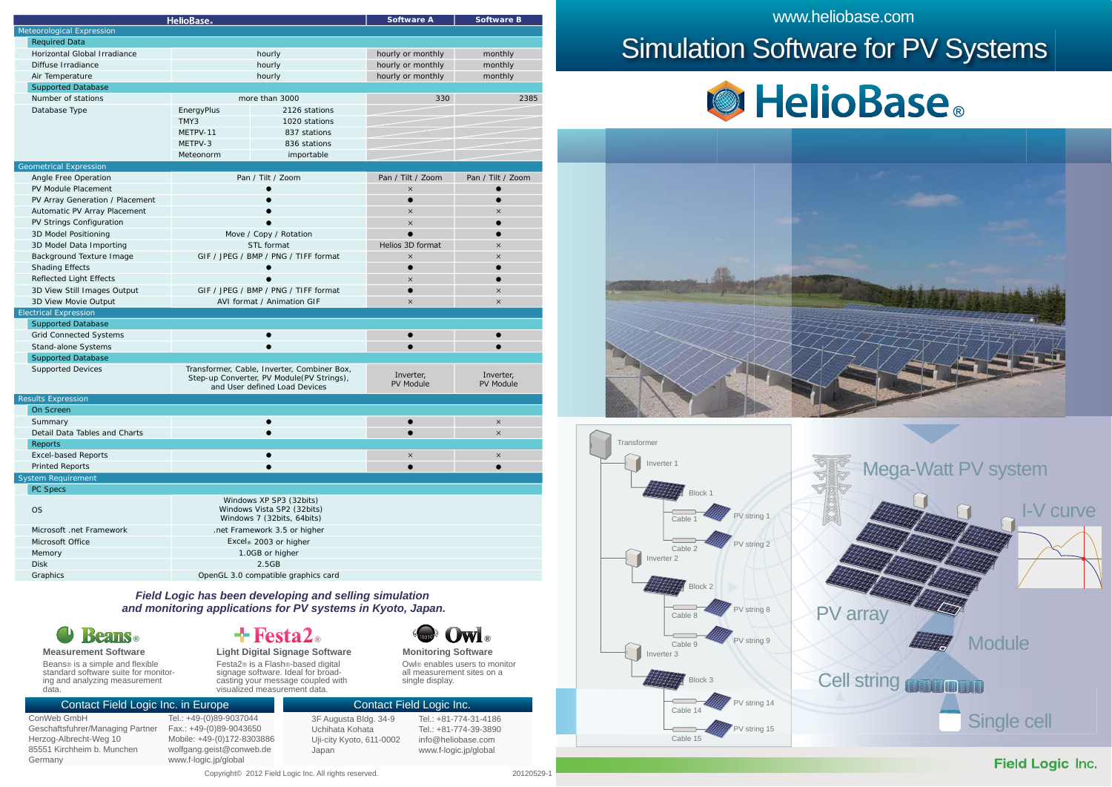| <b>HelioBase</b>                |                                                                                     |                                             | <b>Software A</b> | <b>Software B</b> |
|---------------------------------|-------------------------------------------------------------------------------------|---------------------------------------------|-------------------|-------------------|
| Meteorological Expression       |                                                                                     |                                             |                   |                   |
| <b>Required Data</b>            |                                                                                     |                                             |                   |                   |
| Horizontal Global Irradiance    | hourly                                                                              |                                             | hourly or monthly | monthly           |
| Diffuse Irradiance              | hourly                                                                              |                                             | hourly or monthly | monthly           |
| Air Temperature                 | hourly                                                                              |                                             | hourly or monthly | monthly           |
| <b>Supported Database</b>       |                                                                                     |                                             |                   |                   |
| Number of stations              |                                                                                     | more than 3000                              | 330               | 2385              |
| Database Type                   | EnergyPlus<br>2126 stations                                                         |                                             |                   |                   |
|                                 | TMY3                                                                                | 1020 stations                               |                   |                   |
|                                 | METPV-11                                                                            | 837 stations                                |                   |                   |
|                                 | METPV-3                                                                             | 836 stations                                |                   |                   |
|                                 | Meteonorm                                                                           | importable                                  |                   |                   |
| <b>Geometrical Expression</b>   |                                                                                     |                                             |                   |                   |
| Angle Free Operation            |                                                                                     | Pan / Tilt / Zoom                           | Pan / Tilt / Zoom | Pan / Tilt / Zoom |
| PV Module Placement             |                                                                                     |                                             | $\times$          | $\bullet$         |
| PV Array Generation / Placement |                                                                                     |                                             | $\bullet$         | $\bullet$         |
| Automatic PV Array Placement    |                                                                                     |                                             | $\times$          | $\times$          |
| PV Strings Configuration        |                                                                                     |                                             | $\times$          | $\bullet$         |
| 3D Model Positioning            |                                                                                     | Move / Copy / Rotation                      | $\bullet$         | $\bullet$         |
| 3D Model Data Importing         |                                                                                     | STL format                                  | Helios 3D format  | $\times$          |
| Background Texture Image        |                                                                                     | GIF / JPEG / BMP / PNG / TIFF format        | $\times$          | $\times$          |
| <b>Shading Effects</b>          |                                                                                     |                                             | $\bullet$         | $\bullet$         |
| <b>Reflected Light Effects</b>  |                                                                                     |                                             | $\times$          | ∙                 |
| 3D View Still Images Output     |                                                                                     | GIF / JPEG / BMP / PNG / TIFF format        | $\bullet$         | $\times$          |
| 3D View Movie Output            |                                                                                     | AVI format / Animation GIF                  | $\times$          | $\times$          |
| <b>Electrical Expression</b>    |                                                                                     |                                             |                   |                   |
| <b>Supported Database</b>       |                                                                                     |                                             |                   |                   |
| <b>Grid Connected Systems</b>   |                                                                                     |                                             |                   |                   |
| Stand-alone Systems             |                                                                                     |                                             | $\bullet$         |                   |
| <b>Supported Database</b>       |                                                                                     |                                             |                   |                   |
| <b>Supported Devices</b>        |                                                                                     | Transformer, Cable, Inverter, Combiner Box, |                   |                   |
|                                 |                                                                                     | Step-up Converter, PV Module(PV Strings),   | Inverter,         | Inverter,         |
|                                 |                                                                                     | and User defined Load Devices               | PV Module         | <b>PV Module</b>  |
| <b>Results Expression</b>       |                                                                                     |                                             |                   |                   |
| On Screen                       |                                                                                     |                                             |                   |                   |
| Summary                         |                                                                                     |                                             |                   | $\times$          |
| Detail Data Tables and Charts   |                                                                                     |                                             |                   | $\times$          |
| Reports                         |                                                                                     |                                             |                   |                   |
| <b>Excel-based Reports</b>      |                                                                                     |                                             | $\times$          | $\times$          |
| <b>Printed Reports</b>          | $\bullet$                                                                           |                                             | $\bullet$         | $\bullet$         |
| <b>System Requirement</b>       |                                                                                     |                                             |                   |                   |
| PC Specs                        |                                                                                     |                                             |                   |                   |
| <b>OS</b>                       | Windows XP SP3 (32bits)<br>Windows Vista SP2 (32bits)<br>Windows 7 (32bits, 64bits) |                                             |                   |                   |
|                                 |                                                                                     |                                             |                   |                   |
| Microsoft .net Framework        |                                                                                     | .net Framework 3.5 or higher                |                   |                   |
| Microsoft Office                |                                                                                     | Excel® 2003 or higher                       |                   |                   |
| Memory                          |                                                                                     | 1.0GB or higher                             |                   |                   |
| <b>Disk</b>                     |                                                                                     | 2.5GB                                       |                   |                   |
| Graphics                        | OpenGL 3.0 compatible graphics card                                                 |                                             |                   |                   |
|                                 |                                                                                     |                                             |                   |                   |

#### *Field Logic has been developing and selling simulation and monitoring applications for PV systems in Kyoto, Japan.*

*®*

Festa2® is a Flash®-based digital signage software. Ideal for broadcasting your message coupled with

#### *®***Measurement Software Light Digital Signage Software Monitoring Software**

Beans® is a simple and flexible standard software suite for monitor-ing and analyzing measurement data.

#### Contact Field Logic Inc. in Europe

ConWeb GmbH Geschaftsfuhrer/Managing Partner Herzog-Albrecht-Weg 10 85551 Kirchheim b. Munchen Germany

Tel.: +49-(0)89-9037044 Fax.: +49-(0)89-9043650 Mobile: +49-(0)172-8303886 wolfgang.geist@conweb.de www.f-logic.jp/global

3F Augusta Bldg. 34-9 Uchihata Kohata Uji-city Kyoto, 611-0002 Japan visualized measurement data.

 $Tel: +81-774-31-4186$ Tel.: +81-774-39-3890 info@heliobase.com www.f-logic.jp/global Contact Field Logic Inc.

single display.

**Owl** ®

Owl® enables users to monitor all measurement sites on a

www.heliobase.com

# Simulation Software for PV Systems









Copyright© 2012 Field Logic Inc. All rights reserved. 20120529-120529-120529-120529-120529-120529-1

**Field Logic Inc.**